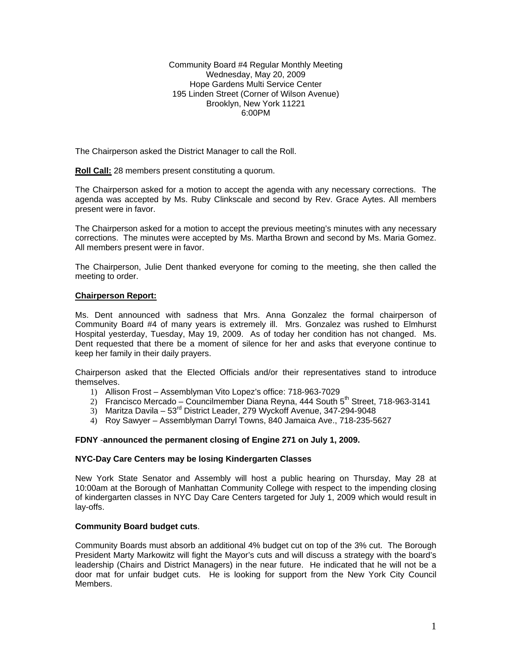Community Board #4 Regular Monthly Meeting Wednesday, May 20, 2009 Hope Gardens Multi Service Center 195 Linden Street (Corner of Wilson Avenue) Brooklyn, New York 11221 6:00PM

The Chairperson asked the District Manager to call the Roll.

**Roll Call:** 28 members present constituting a quorum.

The Chairperson asked for a motion to accept the agenda with any necessary corrections. The agenda was accepted by Ms. Ruby Clinkscale and second by Rev. Grace Aytes. All members present were in favor.

The Chairperson asked for a motion to accept the previous meeting's minutes with any necessary corrections. The minutes were accepted by Ms. Martha Brown and second by Ms. Maria Gomez. All members present were in favor.

The Chairperson, Julie Dent thanked everyone for coming to the meeting, she then called the meeting to order.

## **Chairperson Report:**

Ms. Dent announced with sadness that Mrs. Anna Gonzalez the formal chairperson of Community Board #4 of many years is extremely ill. Mrs. Gonzalez was rushed to Elmhurst Hospital yesterday, Tuesday, May 19, 2009. As of today her condition has not changed. Ms. Dent requested that there be a moment of silence for her and asks that everyone continue to keep her family in their daily prayers.

Chairperson asked that the Elected Officials and/or their representatives stand to introduce themselves.

- 1) Allison Frost Assemblyman Vito Lopez's office: 718-963-7029
- $2)$  Francisco Mercado Councilmember Diana Revna, 444 South 5<sup>th</sup> Street, 718-963-3141
- 3) Maritza Davila 53rd District Leader, 279 Wyckoff Avenue, 347-294-9048
- 4) Roy Sawyer Assemblyman Darryl Towns, 840 Jamaica Ave., 718-235-5627

# **FDNY** -**announced the permanent closing of Engine 271 on July 1, 2009.**

#### **NYC-Day Care Centers may be losing Kindergarten Classes**

New York State Senator and Assembly will host a public hearing on Thursday, May 28 at 10:00am at the Borough of Manhattan Community College with respect to the impending closing of kindergarten classes in NYC Day Care Centers targeted for July 1, 2009 which would result in lay-offs.

### **Community Board budget cuts**.

Community Boards must absorb an additional 4% budget cut on top of the 3% cut. The Borough President Marty Markowitz will fight the Mayor's cuts and will discuss a strategy with the board's leadership (Chairs and District Managers) in the near future. He indicated that he will not be a door mat for unfair budget cuts. He is looking for support from the New York City Council Members.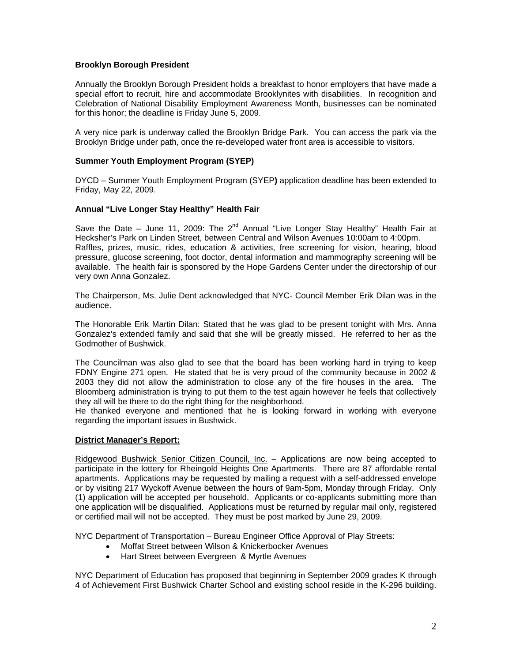# **Brooklyn Borough President**

Annually the Brooklyn Borough President holds a breakfast to honor employers that have made a special effort to recruit, hire and accommodate Brooklynites with disabilities. In recognition and Celebration of National Disability Employment Awareness Month, businesses can be nominated for this honor; the deadline is Friday June 5, 2009.

A very nice park is underway called the Brooklyn Bridge Park. You can access the park via the Brooklyn Bridge under path, once the re-developed water front area is accessible to visitors.

### **Summer Youth Employment Program (SYEP)**

DYCD – Summer Youth Employment Program (SYEP**)** application deadline has been extended to Friday, May 22, 2009.

### **Annual "Live Longer Stay Healthy" Health Fair**

Save the Date – June 11, 2009: The  $2^{nd}$  Annual "Live Longer Stay Healthy" Health Fair at Hecksher's Park on Linden Street, between Central and Wilson Avenues 10:00am to 4:00pm. Raffles, prizes, music, rides, education & activities, free screening for vision, hearing, blood pressure, glucose screening, foot doctor, dental information and mammography screening will be available. The health fair is sponsored by the Hope Gardens Center under the directorship of our very own Anna Gonzalez.

The Chairperson, Ms. Julie Dent acknowledged that NYC- Council Member Erik Dilan was in the audience.

The Honorable Erik Martin Dilan: Stated that he was glad to be present tonight with Mrs. Anna Gonzalez's extended family and said that she will be greatly missed. He referred to her as the Godmother of Bushwick.

The Councilman was also glad to see that the board has been working hard in trying to keep FDNY Engine 271 open. He stated that he is very proud of the community because in 2002 & 2003 they did not allow the administration to close any of the fire houses in the area. The Bloomberg administration is trying to put them to the test again however he feels that collectively they all will be there to do the right thing for the neighborhood.

He thanked everyone and mentioned that he is looking forward in working with everyone regarding the important issues in Bushwick.

#### **District Manager's Report:**

Ridgewood Bushwick Senior Citizen Council, Inc. – Applications are now being accepted to participate in the lottery for Rheingold Heights One Apartments. There are 87 affordable rental apartments. Applications may be requested by mailing a request with a self-addressed envelope or by visiting 217 Wyckoff Avenue between the hours of 9am-5pm, Monday through Friday. Only (1) application will be accepted per household. Applicants or co-applicants submitting more than one application will be disqualified. Applications must be returned by regular mail only, registered or certified mail will not be accepted. They must be post marked by June 29, 2009.

NYC Department of Transportation – Bureau Engineer Office Approval of Play Streets:

- Moffat Street between Wilson & Knickerbocker Avenues
- Hart Street between Evergreen & Myrtle Avenues

NYC Department of Education has proposed that beginning in September 2009 grades K through 4 of Achievement First Bushwick Charter School and existing school reside in the K-296 building.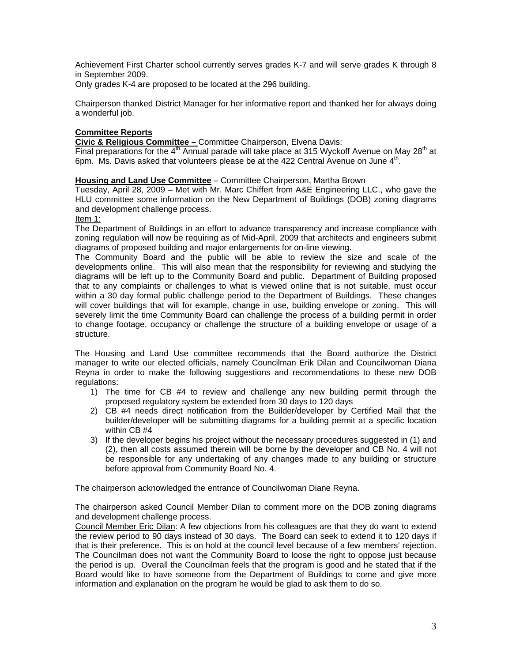Achievement First Charter school currently serves grades K-7 and will serve grades K through 8 in September 2009.

Only grades K-4 are proposed to be located at the 296 building.

Chairperson thanked District Manager for her informative report and thanked her for always doing a wonderful job.

## **Committee Reports**

**Civic & Religious Committee –** Committee Chairperson, Elvena Davis:

Final preparations for the  $4<sup>th</sup>$  Annual parade will take place at 315 Wyckoff Avenue on May 28<sup>th</sup> at 6pm. Ms. Davis asked that volunteers please be at the 422 Central Avenue on June  $4<sup>th</sup>$ .

## **Housing and Land Use Committee** – Committee Chairperson, Martha Brown

Tuesday, April 28, 2009 – Met with Mr. Marc Chiffert from A&E Engineering LLC., who gave the HLU committee some information on the New Department of Buildings (DOB) zoning diagrams and development challenge process.

#### Item 1:

The Department of Buildings in an effort to advance transparency and increase compliance with zoning regulation will now be requiring as of Mid-April, 2009 that architects and engineers submit diagrams of proposed building and major enlargements for on-line viewing.

The Community Board and the public will be able to review the size and scale of the developments online. This will also mean that the responsibility for reviewing and studying the diagrams will be left up to the Community Board and public. Department of Building proposed that to any complaints or challenges to what is viewed online that is not suitable, must occur within a 30 day formal public challenge period to the Department of Buildings. These changes will cover buildings that will for example, change in use, building envelope or zoning. This will severely limit the time Community Board can challenge the process of a building permit in order to change footage, occupancy or challenge the structure of a building envelope or usage of a structure.

The Housing and Land Use committee recommends that the Board authorize the District manager to write our elected officials, namely Councilman Erik Dilan and Councilwoman Diana Reyna in order to make the following suggestions and recommendations to these new DOB regulations:

- 1) The time for CB #4 to review and challenge any new building permit through the proposed regulatory system be extended from 30 days to 120 days
- 2) CB #4 needs direct notification from the Builder/developer by Certified Mail that the builder/developer will be submitting diagrams for a building permit at a specific location within CB #4
- 3) If the developer begins his project without the necessary procedures suggested in (1) and (2), then all costs assumed therein will be borne by the developer and CB No. 4 will not be responsible for any undertaking of any changes made to any building or structure before approval from Community Board No. 4.

The chairperson acknowledged the entrance of Councilwoman Diane Reyna.

The chairperson asked Council Member Dilan to comment more on the DOB zoning diagrams and development challenge process.

Council Member Eric Dilan: A few objections from his colleagues are that they do want to extend the review period to 90 days instead of 30 days. The Board can seek to extend it to 120 days if that is their preference. This is on hold at the council level because of a few members' rejection. The Councilman does not want the Community Board to loose the right to oppose just because the period is up. Overall the Councilman feels that the program is good and he stated that if the Board would like to have someone from the Department of Buildings to come and give more information and explanation on the program he would be glad to ask them to do so.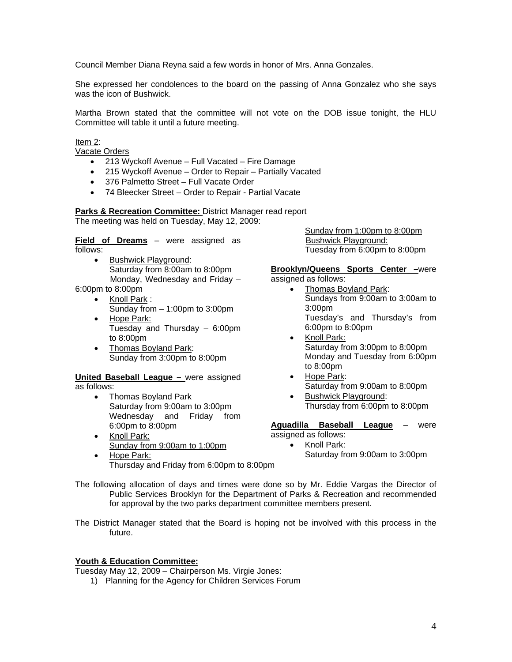Council Member Diana Reyna said a few words in honor of Mrs. Anna Gonzales.

She expressed her condolences to the board on the passing of Anna Gonzalez who she says was the icon of Bushwick

Martha Brown stated that the committee will not vote on the DOB issue tonight, the HLU Committee will table it until a future meeting.

Item 2:

Vacate Orders

- 213 Wyckoff Avenue Full Vacated Fire Damage
- 215 Wyckoff Avenue Order to Repair Partially Vacated
- 376 Palmetto Street Full Vacate Order
- 74 Bleecker Street Order to Repair Partial Vacate

**Parks & Recreation Committee: District Manager read report** The meeting was held on Tuesday, May 12, 2009:

**Field of Dreams** – were assigned as follows:

- Bushwick Playground: Saturday from 8:00am to 8:00pm Monday, Wednesday and Friday – 6:00pm to 8:00pm
	- Knoll Park : Sunday from – 1:00pm to 3:00pm
	- Hope Park: Tuesday and Thursday – 6:00pm to 8:00pm
	- Thomas Boyland Park: Sunday from 3:00pm to 8:00pm

**United Baseball League –** were assigned as follows:

- Thomas Boyland Park Saturday from 9:00am to 3:00pm Wednesday and Friday from 6:00pm to 8:00pm
- Knoll Park: Sunday from 9:00am to 1:00pm
- Hope Park: Thursday and Friday from 6:00pm to 8:00pm

Sunday from 1:00pm to 8:00pm Bushwick Playground: Tuesday from 6:00pm to 8:00pm

**Brooklyn/Queens Sports Center –**were assigned as follows:

- Thomas Boyland Park: Sundays from 9:00am to 3:00am to 3:00pm Tuesday's and Thursday's from 6:00pm to 8:00pm
- Knoll Park: Saturday from 3:00pm to 8:00pm Monday and Tuesday from 6:00pm to 8:00pm
- Hope Park: Saturday from 9:00am to 8:00pm
- Bushwick Playground: Thursday from 6:00pm to 8:00pm

**Aguadilla Baseball League** – were assigned as follows:

• Knoll Park: Saturday from 9:00am to 3:00pm

The following allocation of days and times were done so by Mr. Eddie Vargas the Director of Public Services Brooklyn for the Department of Parks & Recreation and recommended for approval by the two parks department committee members present.

The District Manager stated that the Board is hoping not be involved with this process in the future.

# **Youth & Education Committee:**

Tuesday May 12, 2009 – Chairperson Ms. Virgie Jones:

1) Planning for the Agency for Children Services Forum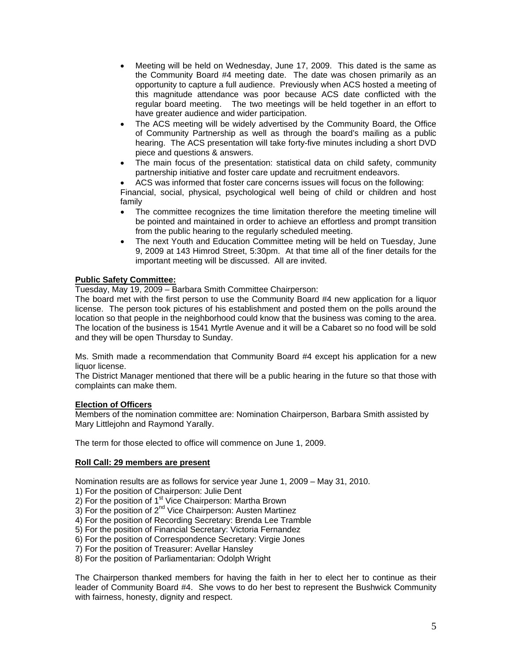- Meeting will be held on Wednesday, June 17, 2009. This dated is the same as the Community Board #4 meeting date. The date was chosen primarily as an opportunity to capture a full audience. Previously when ACS hosted a meeting of this magnitude attendance was poor because ACS date conflicted with the regular board meeting. The two meetings will be held together in an effort to have greater audience and wider participation.
- The ACS meeting will be widely advertised by the Community Board, the Office of Community Partnership as well as through the board's mailing as a public hearing. The ACS presentation will take forty-five minutes including a short DVD piece and questions & answers.
- The main focus of the presentation: statistical data on child safety, community partnership initiative and foster care update and recruitment endeavors.
- ACS was informed that foster care concerns issues will focus on the following:

Financial, social, physical, psychological well being of child or children and host family

- The committee recognizes the time limitation therefore the meeting timeline will be pointed and maintained in order to achieve an effortless and prompt transition from the public hearing to the regularly scheduled meeting.
- The next Youth and Education Committee meting will be held on Tuesday, June 9, 2009 at 143 Himrod Street, 5:30pm. At that time all of the finer details for the important meeting will be discussed. All are invited.

# **Public Safety Committee:**

Tuesday, May 19, 2009 – Barbara Smith Committee Chairperson:

The board met with the first person to use the Community Board #4 new application for a liquor license. The person took pictures of his establishment and posted them on the polls around the location so that people in the neighborhood could know that the business was coming to the area. The location of the business is 1541 Myrtle Avenue and it will be a Cabaret so no food will be sold and they will be open Thursday to Sunday.

Ms. Smith made a recommendation that Community Board #4 except his application for a new liquor license.

The District Manager mentioned that there will be a public hearing in the future so that those with complaints can make them.

# **Election of Officers**

Members of the nomination committee are: Nomination Chairperson, Barbara Smith assisted by Mary Littlejohn and Raymond Yarally.

The term for those elected to office will commence on June 1, 2009.

# **Roll Call: 29 members are present**

Nomination results are as follows for service year June 1, 2009 – May 31, 2010.

1) For the position of Chairperson: Julie Dent

 $2)$  For the position of 1<sup>st</sup> Vice Chairperson: Martha Brown

 $3)$  For the position of  $2<sup>nd</sup>$  Vice Chairperson: Austen Martinez

4) For the position of Recording Secretary: Brenda Lee Tramble

5) For the position of Financial Secretary: Victoria Fernandez

- 6) For the position of Correspondence Secretary: Virgie Jones
- 7) For the position of Treasurer: Avellar Hansley
- 8) For the position of Parliamentarian: Odolph Wright

The Chairperson thanked members for having the faith in her to elect her to continue as their leader of Community Board #4. She vows to do her best to represent the Bushwick Community with fairness, honesty, dignity and respect.